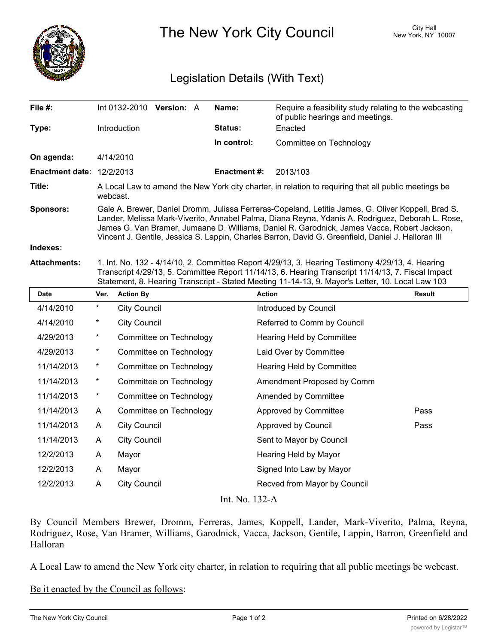

The New York City Council New York, NY 10007

## Legislation Details (With Text)

| File $#$ :                  |                                                                                                                                                                                                                                                                                                                                                                                                             |                     | $Int 0132-2010$ Version: A |  | Name:               | Require a feasibility study relating to the webcasting<br>of public hearings and meetings. |  |  |
|-----------------------------|-------------------------------------------------------------------------------------------------------------------------------------------------------------------------------------------------------------------------------------------------------------------------------------------------------------------------------------------------------------------------------------------------------------|---------------------|----------------------------|--|---------------------|--------------------------------------------------------------------------------------------|--|--|
| Type:                       |                                                                                                                                                                                                                                                                                                                                                                                                             | <b>Introduction</b> |                            |  | <b>Status:</b>      | Enacted                                                                                    |  |  |
|                             |                                                                                                                                                                                                                                                                                                                                                                                                             |                     |                            |  | In control:         | Committee on Technology                                                                    |  |  |
| On agenda:                  |                                                                                                                                                                                                                                                                                                                                                                                                             | 4/14/2010           |                            |  |                     |                                                                                            |  |  |
| Enactment date: $12/2/2013$ |                                                                                                                                                                                                                                                                                                                                                                                                             |                     |                            |  | <b>Enactment #:</b> | 2013/103                                                                                   |  |  |
| Title:                      | A Local Law to amend the New York city charter, in relation to requiring that all public meetings be<br>webcast.                                                                                                                                                                                                                                                                                            |                     |                            |  |                     |                                                                                            |  |  |
| <b>Sponsors:</b>            | Gale A. Brewer, Daniel Dromm, Julissa Ferreras-Copeland, Letitia James, G. Oliver Koppell, Brad S.<br>Lander, Melissa Mark-Viverito, Annabel Palma, Diana Reyna, Ydanis A. Rodriguez, Deborah L. Rose,<br>James G. Van Bramer, Jumaane D. Williams, Daniel R. Garodnick, James Vacca, Robert Jackson,<br>Vincent J. Gentile, Jessica S. Lappin, Charles Barron, David G. Greenfield, Daniel J. Halloran III |                     |                            |  |                     |                                                                                            |  |  |
| Indexes:                    |                                                                                                                                                                                                                                                                                                                                                                                                             |                     |                            |  |                     |                                                                                            |  |  |
| <b>Attachments:</b>         | 1. Int. No. 132 - 4/14/10, 2. Committee Report 4/29/13, 3. Hearing Testimony 4/29/13, 4. Hearing<br>Transcript 4/29/13, 5. Committee Report 11/14/13, 6. Hearing Transcript 11/14/13, 7. Fiscal Impact<br>Statement, 8. Hearing Transcript - Stated Meeting 11-14-13, 9. Mayor's Letter, 10. Local Law 103                                                                                                  |                     |                            |  |                     |                                                                                            |  |  |
| <b>Date</b>                 | Ver.                                                                                                                                                                                                                                                                                                                                                                                                        | <b>Action By</b>    |                            |  | <b>Action</b>       | <b>Result</b>                                                                              |  |  |
| 4/14/2010                   | $^\star$                                                                                                                                                                                                                                                                                                                                                                                                    | <b>City Council</b> |                            |  |                     | Introduced by Council                                                                      |  |  |

| 4/14/2010      | $^\star$   | <b>City Council</b>     | Introduced by Council        |      |  |  |  |  |
|----------------|------------|-------------------------|------------------------------|------|--|--|--|--|
| 4/14/2010      | $^\star$   | <b>City Council</b>     | Referred to Comm by Council  |      |  |  |  |  |
| 4/29/2013      | $\star$    | Committee on Technology | Hearing Held by Committee    |      |  |  |  |  |
| 4/29/2013      | $^\star$   | Committee on Technology | Laid Over by Committee       |      |  |  |  |  |
| 11/14/2013     | $\star$    | Committee on Technology | Hearing Held by Committee    |      |  |  |  |  |
| 11/14/2013     | $\star$    | Committee on Technology | Amendment Proposed by Comm   |      |  |  |  |  |
| 11/14/2013     | $^{\star}$ | Committee on Technology | Amended by Committee         |      |  |  |  |  |
| 11/14/2013     | A          | Committee on Technology | Approved by Committee        | Pass |  |  |  |  |
| 11/14/2013     | A          | <b>City Council</b>     | Approved by Council          | Pass |  |  |  |  |
| 11/14/2013     | A          | <b>City Council</b>     | Sent to Mayor by Council     |      |  |  |  |  |
| 12/2/2013      | A          | Mayor                   | Hearing Held by Mayor        |      |  |  |  |  |
| 12/2/2013      | A          | Mayor                   | Signed Into Law by Mayor     |      |  |  |  |  |
| 12/2/2013      | A          | <b>City Council</b>     | Recved from Mayor by Council |      |  |  |  |  |
| Int. No. 132-A |            |                         |                              |      |  |  |  |  |

By Council Members Brewer, Dromm, Ferreras, James, Koppell, Lander, Mark-Viverito, Palma, Reyna, Rodriguez, Rose, Van Bramer, Williams, Garodnick, Vacca, Jackson, Gentile, Lappin, Barron, Greenfield and Halloran

A Local Law to amend the New York city charter, in relation to requiring that all public meetings be webcast.

Be it enacted by the Council as follows: